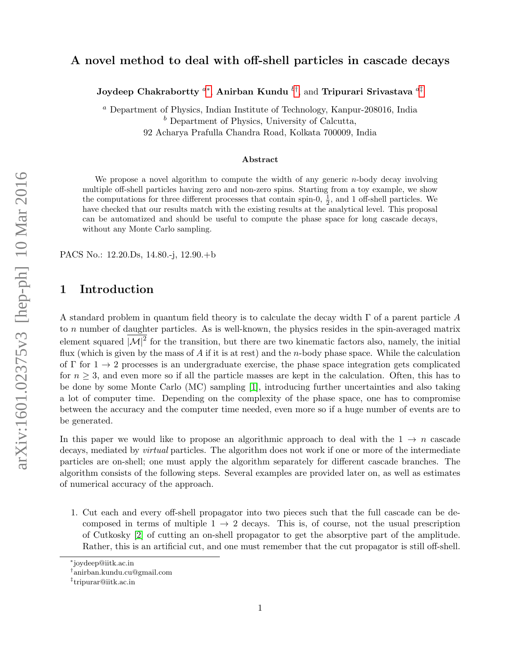# arXiv:1601.02375v3 [hep-ph] 10 Mar 2016 arXiv:1601.02375v3 [hep-ph] 10 Mar 2016

## A novel method to deal with off-shell particles in cascade decays

Joydeep Chakrabortty  ${}^{a*},$  Anirban Kundu  ${}^{b\dagger},$  and Tripurari Srivastava  ${}^{a\dagger}$ 

<sup>a</sup> Department of Physics, Indian Institute of Technology, Kanpur-208016, India  $\delta$  Department of Physics, University of Calcutta, 92 Acharya Prafulla Chandra Road, Kolkata 700009, India

### Abstract

We propose a novel algorithm to compute the width of any generic *n*-body decay involving multiple off-shell particles having zero and non-zero spins. Starting from a toy example, we show the computations for three different processes that contain spin-0,  $\frac{1}{2}$ , and 1 off-shell particles. We have checked that our results match with the existing results at the analytical level. This proposal can be automatized and should be useful to compute the phase space for long cascade decays, without any Monte Carlo sampling.

PACS No.: 12.20.Ds, 14.80.-j, 12.90.+b

### 1 Introduction

A standard problem in quantum field theory is to calculate the decay width  $\Gamma$  of a parent particle A to n number of daughter particles. As is well-known, the physics resides in the spin-averaged matrix element squared  $|M|^2$  for the transition, but there are two kinematic factors also, namely, the initial flux (which is given by the mass of  $A$  if it is at rest) and the *n*-body phase space. While the calculation of  $\Gamma$  for  $1 \rightarrow 2$  processes is an undergraduate exercise, the phase space integration gets complicated for  $n \geq 3$ , and even more so if all the particle masses are kept in the calculation. Often, this has to be done by some Monte Carlo (MC) sampling [\[1\]](#page-8-0), introducing further uncertainties and also taking a lot of computer time. Depending on the complexity of the phase space, one has to compromise between the accuracy and the computer time needed, even more so if a huge number of events are to be generated.

In this paper we would like to propose an algorithmic approach to deal with the  $1 \rightarrow n$  cascade decays, mediated by *virtual* particles. The algorithm does not work if one or more of the intermediate particles are on-shell; one must apply the algorithm separately for different cascade branches. The algorithm consists of the following steps. Several examples are provided later on, as well as estimates of numerical accuracy of the approach.

1. Cut each and every off-shell propagator into two pieces such that the full cascade can be decomposed in terms of multiple  $1 \rightarrow 2$  decays. This is, of course, not the usual prescription of Cutkosky [\[2\]](#page-8-1) of cutting an on-shell propagator to get the absorptive part of the amplitude. Rather, this is an artificial cut, and one must remember that the cut propagator is still off-shell.

<span id="page-0-0"></span><sup>∗</sup> joydeep@iitk.ac.in

<span id="page-0-1"></span><sup>†</sup> anirban.kundu.cu@gmail.com

<span id="page-0-2"></span><sup>‡</sup> tripurar@iitk.ac.in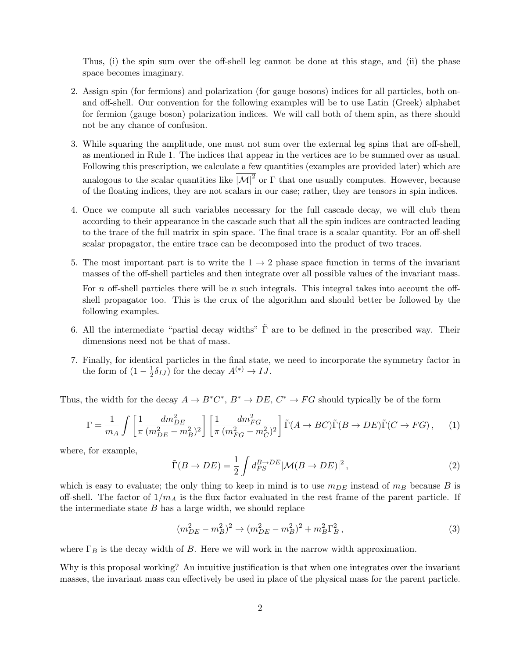Thus, (i) the spin sum over the off-shell leg cannot be done at this stage, and (ii) the phase space becomes imaginary.

- 2. Assign spin (for fermions) and polarization (for gauge bosons) indices for all particles, both onand off-shell. Our convention for the following examples will be to use Latin (Greek) alphabet for fermion (gauge boson) polarization indices. We will call both of them spin, as there should not be any chance of confusion.
- 3. While squaring the amplitude, one must not sum over the external leg spins that are off-shell, as mentioned in Rule 1. The indices that appear in the vertices are to be summed over as usual. Following this prescription, we calculate a few quantities (examples are provided later) which are analogous to the scalar quantities like  $|\mathcal{M}|^2$  or  $\Gamma$  that one usually computes. However, because of the floating indices, they are not scalars in our case; rather, they are tensors in spin indices.
- 4. Once we compute all such variables necessary for the full cascade decay, we will club them according to their appearance in the cascade such that all the spin indices are contracted leading to the trace of the full matrix in spin space. The final trace is a scalar quantity. For an off-shell scalar propagator, the entire trace can be decomposed into the product of two traces.
- 5. The most important part is to write the  $1 \rightarrow 2$  phase space function in terms of the invariant masses of the off-shell particles and then integrate over all possible values of the invariant mass.

For n off-shell particles there will be n such integrals. This integral takes into account the offshell propagator too. This is the crux of the algorithm and should better be followed by the following examples.

- 6. All the intermediate "partial decay widths"  $\tilde{\Gamma}$  are to be defined in the prescribed way. Their dimensions need not be that of mass.
- 7. Finally, for identical particles in the final state, we need to incorporate the symmetry factor in the form of  $(1 - \frac{1}{2})$  $\frac{1}{2}\delta_{IJ}$ ) for the decay  $A^{(*)} \to IJ$ .

Thus, the width for the decay  $A \to B^*C^*$ ,  $B^* \to DE$ ,  $C^* \to FG$  should typically be of the form

$$
\Gamma = \frac{1}{m_A} \int \left[ \frac{1}{\pi} \frac{dm_{DE}^2}{(m_{DE}^2 - m_B^2)^2} \right] \left[ \frac{1}{\pi} \frac{dm_{FG}^2}{(m_{FG}^2 - m_C^2)^2} \right] \tilde{\Gamma}(A \to BC) \tilde{\Gamma}(B \to DE) \tilde{\Gamma}(C \to FG), \tag{1}
$$

where, for example,

$$
\tilde{\Gamma}(B \to DE) = \frac{1}{2} \int d_{PS}^{B \to DE} |\mathcal{M}(B \to DE)|^2 , \qquad (2)
$$

which is easy to evaluate; the only thing to keep in mind is to use  $m_{DE}$  instead of  $m_B$  because B is off-shell. The factor of  $1/m_A$  is the flux factor evaluated in the rest frame of the parent particle. If the intermediate state  $B$  has a large width, we should replace

$$
(m_{DE}^2 - m_B^2)^2 \to (m_{DE}^2 - m_B^2)^2 + m_B^2 \Gamma_B^2, \tag{3}
$$

where  $\Gamma_B$  is the decay width of B. Here we will work in the narrow width approximation.

Why is this proposal working? An intuitive justification is that when one integrates over the invariant masses, the invariant mass can effectively be used in place of the physical mass for the parent particle.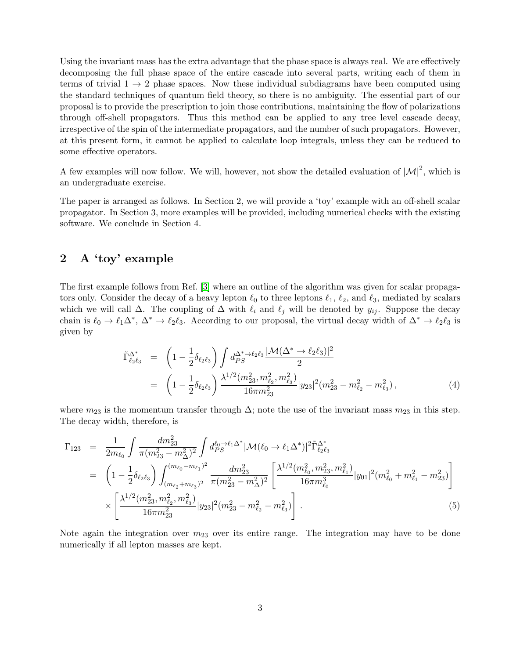Using the invariant mass has the extra advantage that the phase space is always real. We are effectively decomposing the full phase space of the entire cascade into several parts, writing each of them in terms of trivial  $1 \rightarrow 2$  phase spaces. Now these individual subdiagrams have been computed using the standard techniques of quantum field theory, so there is no ambiguity. The essential part of our proposal is to provide the prescription to join those contributions, maintaining the flow of polarizations through off-shell propagators. Thus this method can be applied to any tree level cascade decay, irrespective of the spin of the intermediate propagators, and the number of such propagators. However, at this present form, it cannot be applied to calculate loop integrals, unless they can be reduced to some effective operators.

A few examples will now follow. We will, however, not show the detailed evaluation of  $|\mathcal{M}|^2$ , which is an undergraduate exercise.

The paper is arranged as follows. In Section 2, we will provide a 'toy' example with an off-shell scalar propagator. In Section 3, more examples will be provided, including numerical checks with the existing software. We conclude in Section 4.

# 2 A 'toy' example

The first example follows from Ref. [\[3\]](#page-8-2) where an outline of the algorithm was given for scalar propagators only. Consider the decay of a heavy lepton  $\ell_0$  to three leptons  $\ell_1, \ell_2$ , and  $\ell_3$ , mediated by scalars which we will call  $\Delta$ . The coupling of  $\Delta$  with  $\ell_i$  and  $\ell_j$  will be denoted by  $y_{ij}$ . Suppose the decay chain is  $\ell_0 \to \ell_1\Delta^*$ ,  $\Delta^* \to \ell_2\ell_3$ . According to our proposal, the virtual decay width of  $\Delta^* \to \ell_2\ell_3$  is given by

$$
\tilde{\Gamma}_{\ell_2\ell_3}^{\Delta^*} = \left(1 - \frac{1}{2}\delta_{\ell_2\ell_3}\right) \int d_{PS}^{\Delta^* \to \ell_2\ell_3} \frac{|\mathcal{M}(\Delta^* \to \ell_2\ell_3)|^2}{2} \n= \left(1 - \frac{1}{2}\delta_{\ell_2\ell_3}\right) \frac{\lambda^{1/2}(m_{23}^2, m_{\ell_2}^2, m_{\ell_3}^2)}{16\pi m_{23}^2} |y_{23}|^2(m_{23}^2 - m_{\ell_2}^2 - m_{\ell_3}^2),
$$
\n(4)

where  $m_{23}$  is the momentum transfer through  $\Delta$ ; note the use of the invariant mass  $m_{23}$  in this step. The decay width, therefore, is

$$
\Gamma_{123} = \frac{1}{2m_{\ell_0}} \int \frac{dm_{23}^2}{\pi (m_{23}^2 - m_\Delta^2)^2} \int d_{PS}^{\ell_0 \to \ell_1 \Delta^*} |\mathcal{M}(\ell_0 \to \ell_1 \Delta^*)|^2 \tilde{\Gamma}_{\ell_2 \ell_3}^{\Delta^*} \n= \left(1 - \frac{1}{2} \delta_{\ell_2 \ell_3}\right) \int_{(m_{\ell_2} + m_{\ell_3})^2}^{(m_{\ell_0} - m_{\ell_1})^2} \frac{dm_{23}^2}{\pi (m_{23}^2 - m_\Delta^2)^2} \left[\frac{\lambda^{1/2} (m_{\ell_0}^2, m_{23}^2, m_{\ell_1}^2)}{16 \pi m_{\ell_0}^3} |y_{01}|^2 (m_{\ell_0}^2 + m_{\ell_1}^2 - m_{23}^2)\right] \n\times \left[\frac{\lambda^{1/2} (m_{23}^2, m_{\ell_2}^2, m_{\ell_3}^2)}{16 \pi m_{23}^2} |y_{23}|^2 (m_{23}^2 - m_{\ell_2}^2 - m_{\ell_3}^2)\right].
$$
\n(5)

Note again the integration over  $m_{23}$  over its entire range. The integration may have to be done numerically if all lepton masses are kept.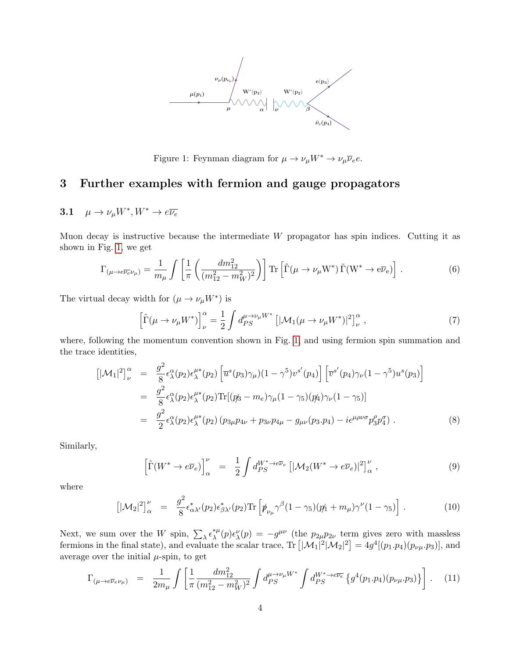

Figure 1: Feynman diagram for  $\mu \to \nu_\mu W^* \to \nu_\mu \overline{\nu}_e e.$ 

# <span id="page-3-0"></span>3 Further examples with fermion and gauge propagators

# 3.1  $\mu \to \nu_{\mu} W^* , W^* \to e \overline{\nu_{e}}$

Muon decay is instructive because the intermediate  $W$  propagator has spin indices. Cutting it as shown in Fig. [1,](#page-3-0) we get

$$
\Gamma_{(\mu \to e\overline{\nu_e}\nu_\mu)} = \frac{1}{m_\mu} \int \left[ \frac{1}{\pi} \left( \frac{dm_{12}^2}{(m_{12}^2 - m_W^2)^2} \right) \right] \text{Tr} \left[ \tilde{\Gamma}(\mu \to \nu_\mu \mathbf{W}^*) \tilde{\Gamma}(\mathbf{W}^* \to e\overline{\nu}_e) \right]. \tag{6}
$$

The virtual decay width for  $(\mu \to \nu_\mu W^*)$  is

$$
\left[\tilde{\Gamma}(\mu \to \nu_{\mu} W^*)\right]_{\nu}^{\alpha} = \frac{1}{2} \int d_{PS}^{\mu \to \nu_{\mu} W^*} \left[|\mathcal{M}_1(\mu \to \nu_{\mu} W^*)|^2\right]_{\nu}^{\alpha},\tag{7}
$$

where, following the momentum convention shown in Fig. [1,](#page-3-0) and using fermion spin summation and the trace identities,

$$
\begin{split}\n\left[|\mathcal{M}_{1}|^{2}\right]_{\nu}^{\alpha} &= \frac{g^{2}}{8} \epsilon_{\lambda}^{\alpha}(p_{2}) \epsilon_{\lambda}^{\mu*}(p_{2}) \left[\overline{u}^{s}(p_{3}) \gamma_{\mu}(1-\gamma^{5}) v^{s}(p_{4})\right] \left[\overline{v}^{s}(p_{4}) \gamma_{\nu}(1-\gamma^{5}) u^{s}(p_{3})\right] \\
&= \frac{g^{2}}{8} \epsilon_{\lambda}^{\alpha}(p_{2}) \epsilon_{\lambda}^{\mu*}(p_{2}) \text{Tr}[(p_{3} - m_{e}) \gamma_{\mu}(1-\gamma_{5})(p_{4}) \gamma_{\nu}(1-\gamma_{5})] \\
&= \frac{g^{2}}{2} \epsilon_{\lambda}^{\alpha}(p_{2}) \epsilon_{\lambda}^{\mu*}(p_{2}) (p_{3\mu} p_{4\nu} + p_{3\nu} p_{4\mu} - g_{\mu\nu}(p_{3} \cdot p_{4}) - i \epsilon^{\mu \rho \nu \sigma} p_{3}^{\rho} p_{4}^{\sigma} \tag{8}\n\end{split}
$$

Similarly,

$$
\left[\tilde{\Gamma}(W^* \to e\overline{\nu}_e)\right]_{\alpha}^{\nu} = \frac{1}{2} \int d_{PS}^{W^* \to e\overline{\nu}_e} \left[|\mathcal{M}_2(W^* \to e\overline{\nu}_e)|^2\right]_{\alpha}^{\nu},\tag{9}
$$

where

$$
\left[|\mathcal{M}_2|^2\right]_{\alpha}^{\nu} = \frac{g^2}{8} \epsilon_{\alpha\lambda'}^*(p_2) \epsilon_{\beta\lambda'}^*(p_2) \text{Tr}\left[\rlap{/}p_{\nu_\mu}\gamma^\beta (1-\gamma_5)(p_1+m_\mu)\gamma^\nu (1-\gamma_5)\right].\tag{10}
$$

Next, we sum over the W spin,  $\sum_{\lambda} \epsilon_{\lambda}^{*\mu}$ <sup>\*μ</sup>(p) $\epsilon_{\lambda}^{\nu}(p) = -g^{\mu\nu}$  (the  $p_{2\mu}p_{2\nu}$  term gives zero with massless fermions in the final state), and evaluate the scalar trace,  $\text{Tr}\left[|\mathcal{M}_1|^2|\mathcal{M}_2|^2\right] = 4g^4[(p_1 \cdot p_4)(p_{\nu\mu} \cdot p_3)]$ , and average over the initial  $\mu$ -spin, to get

$$
\Gamma_{(\mu \to e\overline{\nu}_e \nu_\mu)} = \frac{1}{2m_\mu} \int \left[ \frac{1}{\pi} \frac{dm_{12}^2}{(m_{12}^2 - m_W^2)^2} \int d_{PS}^{\mu \to \nu_\mu W^*} \int d_{PS}^{W^* \to e\overline{\nu}_e} \left\{ g^4(p_1, p_4)(p_{\nu\mu}.p_3) \right\} \right]. \tag{11}
$$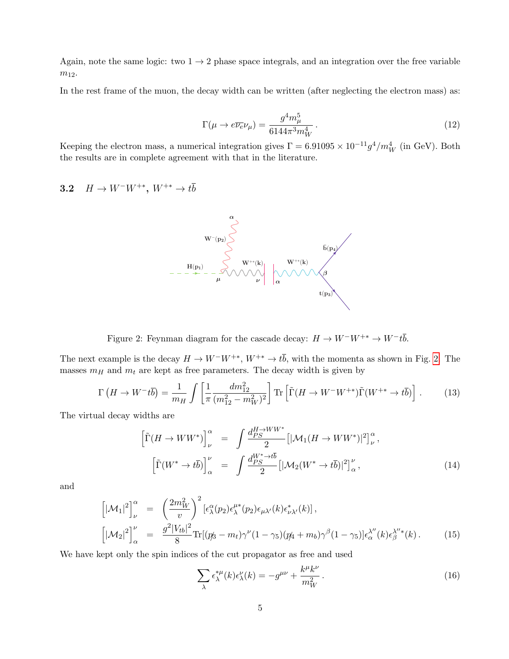Again, note the same logic: two  $1 \rightarrow 2$  phase space integrals, and an integration over the free variable  $m_{12}$ .

In the rest frame of the muon, the decay width can be written (after neglecting the electron mass) as:

$$
\Gamma(\mu \to e\overline{\nu_e}\nu_\mu) = \frac{g^4 m_\mu^5}{6144\pi^3 m_W^4} \,. \tag{12}
$$

Keeping the electron mass, a numerical integration gives  $\Gamma = 6.91095 \times 10^{-11} g^4/m_W^4$  (in GeV). Both the results are in complete agreement with that in the literature.

3.2  $H \to W^-W^{+*}, W^{+*} \to t\overline{b}$ 



Figure 2: Feynman diagram for the cascade decay:  $H \to W^-W^{+*} \to W^-t\overline{b}$ .

<span id="page-4-0"></span>The next example is the decay  $H \to W^-W^{+*}$ ,  $W^{+*} \to t\bar{b}$ , with the momenta as shown in Fig. [2.](#page-4-0) The masses  $m_H$  and  $m_t$  are kept as free parameters. The decay width is given by

$$
\Gamma\left(H \to W^-t\overline{b}\right) = \frac{1}{m_H} \int \left[\frac{1}{\pi} \frac{dm_{12}^2}{(m_{12}^2 - m_W^2)^2}\right] \text{Tr}\left[\tilde{\Gamma}(H \to W^-W^{+\ast})\tilde{\Gamma}(W^{+\ast} \to t\overline{b})\right].\tag{13}
$$

The virtual decay widths are

$$
\left[\tilde{\Gamma}(H \to WW^*)\right]_{\nu}^{\alpha} = \int \frac{d_{PS}^{H \to WW^*}}{2} \left[|\mathcal{M}_1(H \to WW^*)|^2\right]_{\nu}^{\alpha},
$$
\n
$$
\left[\tilde{\Gamma}(W^* \to t\overline{b})\right]_{\alpha}^{\nu} = \int \frac{d_{PS}^{W^* \to t\overline{b}}}{2} \left[|\mathcal{M}_2(W^* \to t\overline{b})|^2\right]_{\alpha}^{\nu},\tag{14}
$$

and

$$
\left[|\mathcal{M}_{1}|^{2}\right]_{\nu}^{\alpha} = \left(\frac{2m_{W}^{2}}{v}\right)^{2} \left[\epsilon_{\lambda}^{\alpha}(p_{2})\epsilon_{\lambda}^{\mu*}(p_{2})\epsilon_{\mu\lambda'}(k)\epsilon_{\nu\lambda'}^{*}(k)\right],
$$
\n
$$
\left[|\mathcal{M}_{2}|^{2}\right]_{\alpha}^{\nu} = \frac{g^{2}|V_{tb}|^{2}}{8} \text{Tr}[(p_{3}-m_{t})\gamma^{\nu}(1-\gamma_{5})(p_{4}+m_{b})\gamma^{\beta}(1-\gamma_{5})]\epsilon_{\alpha}^{\lambda''}(k)\epsilon_{\beta}^{\lambda''*}(k).
$$
\n(15)

We have kept only the spin indices of the cut propagator as free and used

$$
\sum_{\lambda} \epsilon_{\lambda}^{*\mu}(k) \epsilon_{\lambda}^{\nu}(k) = -g^{\mu\nu} + \frac{k^{\mu}k^{\nu}}{m_W^2}.
$$
\n(16)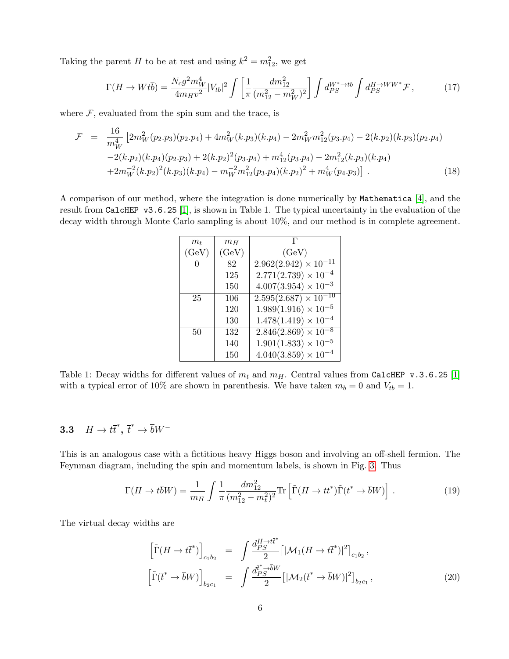Taking the parent H to be at rest and using  $k^2 = m_{12}^2$ , we get

$$
\Gamma(H \to W t \bar{b}) = \frac{N_c g^2 m_W^4}{4m_H v^2} |V_{tb}|^2 \int \left[ \frac{1}{\pi} \frac{dm_{12}^2}{(m_{12}^2 - m_W^2)^2} \right] \int d_{PS}^{W^* \to t \bar{b}} \int d_{PS}^{H \to WW^*} \mathcal{F}, \tag{17}
$$

where  $F$ , evaluated from the spin sum and the trace, is

$$
\mathcal{F} = \frac{16}{m_W^4} \left[ 2m_W^2 (p_2 \cdot p_3)(p_2 \cdot p_4) + 4m_W^2 (k \cdot p_3)(k \cdot p_4) - 2m_W^2 m_{12}^2 (p_3 \cdot p_4) - 2(k \cdot p_2)(k \cdot p_3)(p_2 \cdot p_4) - 2(k \cdot p_2)(k \cdot p_4)(p_2 \cdot p_3) + 2(k \cdot p_2)^2 (p_3 \cdot p_4) + m_{12}^4 (p_3 \cdot p_4) - 2m_{12}^2 (k \cdot p_3)(k \cdot p_4) + 2m_W^{-2} (k \cdot p_2)^2 (k \cdot p_3)(k \cdot p_4) - m_W^{-2} m_{12}^2 (p_3 \cdot p_4)(k \cdot p_2)^2 + m_W^4 (p_4 \cdot p_3) \right].
$$
\n(18)

A comparison of our method, where the integration is done numerically by Mathematica [\[4\]](#page-8-3), and the result from CalcHEP v3.6.25 [\[1\]](#page-8-0), is shown in Table 1. The typical uncertainty in the evaluation of the decay width through Monte Carlo sampling is about 10%, and our method is in complete agreement.

| $m_t$        | $m_H$ | г                             |
|--------------|-------|-------------------------------|
| (GeV)        | (GeV) | (GeV)                         |
| $\mathbf{0}$ | 82    | $2.962(2.942)\times 10^{-11}$ |
|              | 125   | $2.771(2.739) \times 10^{-4}$ |
|              | 150   | $4.007(3.954) \times 10^{-3}$ |
| 25           | 106   | $2.595(2.687)\times10^{-10}$  |
|              | 120   | $1.989(1.916) \times 10^{-5}$ |
|              | 130   | $1.478(1.419)\times 10^{-4}$  |
| 50           | 132   | $2.846(2.869) \times 10^{-8}$ |
|              | 140   | $1.901(1.833) \times 10^{-5}$ |
|              | 150   | $4.040(3.859) \times 10^{-4}$ |

Table 1: Decay widths for different values of  $m_t$  and  $m_H$ . Central values from CalcHEP v.3.6.25 [\[1\]](#page-8-0) with a typical error of 10% are shown in parenthesis. We have taken  $m_b = 0$  and  $V_{tb} = 1$ .

# 3.3  $H \to t\bar{t}^*, \bar{t}^* \to \bar{b}W^-$

This is an analogous case with a fictitious heavy Higgs boson and involving an off-shell fermion. The Feynman diagram, including the spin and momentum labels, is shown in Fig. [3.](#page-6-0) Thus

$$
\Gamma(H \to t\bar{b}W) = \frac{1}{m_H} \int \frac{1}{\pi} \frac{dm_{12}^2}{(m_{12}^2 - m_t^2)^2} \text{Tr}\left[\tilde{\Gamma}(H \to t\bar{t}^*)\tilde{\Gamma}(\bar{t}^* \to \bar{b}W)\right].\tag{19}
$$

The virtual decay widths are

$$
\left[\tilde{\Gamma}(H \to t\bar{t}^*)\right]_{c_1b_2} = \int \frac{d_{PS}^{H \to t\bar{t}^*}}{2} \left[|\mathcal{M}_1(H \to t\bar{t}^*)|^2\right]_{c_1b_2},
$$
\n
$$
\left[\tilde{\Gamma}(\bar{t}^* \to \bar{b}W)\right]_{b_2c_1} = \int \frac{d_{PS}^{\bar{t}^* \to \bar{b}W}}{2} \left[|\mathcal{M}_2(\bar{t}^* \to \bar{b}W)|^2\right]_{b_2c_1},
$$
\n(20)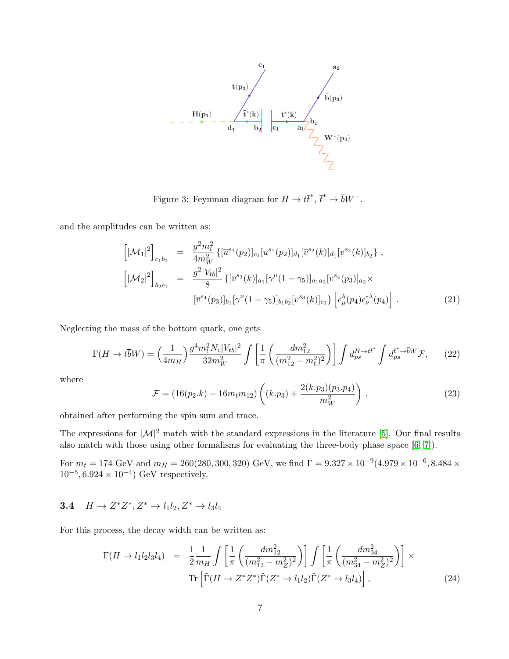

Figure 3: Feynman diagram for  $H \to t\bar{t}^*, \bar{t}^* \to \bar{b}W^-$ .

<span id="page-6-0"></span>and the amplitudes can be written as:

$$
\begin{aligned}\n\left[|\mathcal{M}_{1}|^{2}\right]_{c_{1}b_{2}} &= \frac{g^{2}m_{t}^{2}}{4m_{W}^{2}}\left\{[\overline{u}^{s_{1}}(p_{2})]_{c_{1}}[u^{s_{1}}(p_{2})]_{d_{1}}[\overline{v}^{s_{2}}(k)]_{d_{1}}[v^{s_{2}}(k)]_{b_{2}}\right\}, \\
\left[|\mathcal{M}_{2}|^{2}\right]_{b_{2}c_{1}} &= \frac{g^{2}|V_{tb}|^{2}}{8}\left\{[\overline{v}^{s_{3}}(k)]_{a_{1}}[\gamma^{\mu}(1-\gamma_{5})]_{a_{1}a_{2}}[v^{s_{4}}(p_{3})]_{a_{2}}\times \\
\left[\overline{v}^{s_{4}}(p_{3})]_{b_{1}}[\gamma^{\nu}(1-\gamma_{5})]_{b_{1}b_{2}}[v^{s_{3}}(k)]_{c_{1}}\right\}\left[\epsilon_{\mu}^{\lambda}(p_{4})\epsilon_{\nu}^{*\lambda}(p_{4})\right].\n\end{aligned} \tag{21}
$$

Neglecting the mass of the bottom quark, one gets

$$
\Gamma(H \to t\bar{b}W) = \left(\frac{1}{4m_H}\right) \frac{g^4 m_t^2 N_c |V_{tb}|^2}{32 m_W^2} \int \left[\frac{1}{\pi} \left(\frac{dm_{12}^2}{(m_{12}^2 - m_t^2)^2}\right)\right] \int d_{ps}^{H \to t\bar{t}^*} \int d_{ps}^{\bar{t}^* \to \bar{b}W} \mathcal{F},\tag{22}
$$

where

$$
\mathcal{F} = (16(p_2.k) - 16m_t m_{12}) \left( (k.p_3) + \frac{2(k.p_3)(p_3.p_4)}{m_W^2} \right) ,\qquad (23)
$$

obtained after performing the spin sum and trace.

The expressions for  $|\mathcal{M}|^2$  match with the standard expressions in the literature [\[5\]](#page-8-4). Our final results also match with those using other formalisms for evaluating the three-body phase space [\[6,](#page-8-5) [7\]](#page-8-6)).

For  $m_t = 174 \text{ GeV}$  and  $m_H = 260(280, 300, 320) \text{ GeV}$ , we find  $\Gamma = 9.327 \times 10^{-9}(4.979 \times 10^{-6}, 8.484 \times 10^{-6})$  $10^{-5}, 6.924 \times 10^{-4}$  GeV respectively.

# 3.4  $H \to Z^* Z^*, Z^* \to l_1 l_2, Z^* \to l_3 l_4$

For this process, the decay width can be written as:

$$
\Gamma(H \to l_1 l_2 l_3 l_4) = \frac{1}{2} \frac{1}{m_H} \int \left[ \frac{1}{\pi} \left( \frac{dm_{12}^2}{(m_{12}^2 - m_Z^2)^2} \right) \right] \int \left[ \frac{1}{\pi} \left( \frac{dm_{34}^2}{(m_{34}^2 - m_Z^2)^2} \right) \right] \times \text{Tr} \left[ \tilde{\Gamma}(H \to Z^* Z^*) \tilde{\Gamma}(Z^* \to l_1 l_2) \tilde{\Gamma}(Z^* \to l_3 l_4) \right], \tag{24}
$$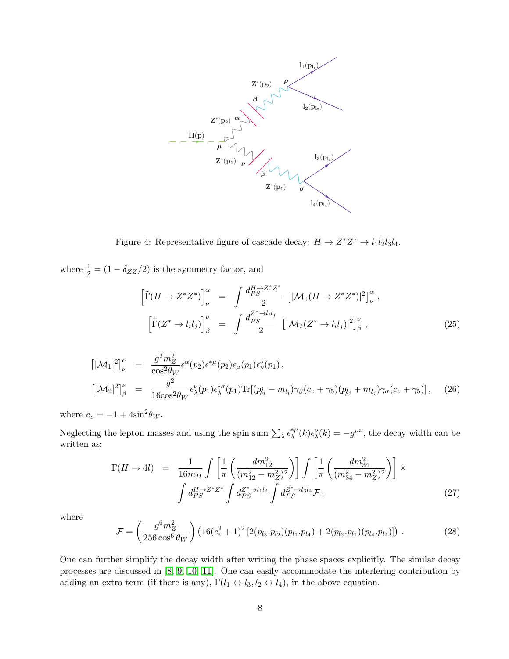

Figure 4: Representative figure of cascade decay:  $H \to Z^* Z^* \to l_1 l_2 l_3 l_4$ .

where  $\frac{1}{2} = (1 - \delta_{ZZ}/2)$  is the symmetry factor, and

$$
\left[\tilde{\Gamma}(H \to Z^* Z^*)\right]_{\nu}^{\alpha} = \int \frac{d_{PS}^{H \to Z^* Z^*}}{2} \left[|\mathcal{M}_1(H \to Z^* Z^*)|^2\right]_{\nu}^{\alpha},
$$
  

$$
\left[\tilde{\Gamma}(Z^* \to l_i l_j)\right]_{\beta}^{\nu} = \int \frac{d_{PS}^{Z^* \to l_i l_j}}{2} \left[|\mathcal{M}_2(Z^* \to l_i l_j)|^2\right]_{\beta}^{\nu},
$$
 (25)

$$
\begin{aligned}\n\left[|\mathcal{M}_{1}|^{2}\right]_{\nu}^{\alpha} &= \frac{g^{2}m_{Z}^{2}}{\cos^{2}\theta_{W}}\epsilon^{\alpha}(p_{2})\epsilon^{*\mu}(p_{2})\epsilon_{\mu}(p_{1})\epsilon_{\nu}^{*}(p_{1}) ,\\
\left[|\mathcal{M}_{2}|^{2}\right]_{\beta}^{\nu} &= \frac{g^{2}}{16\cos^{2}\theta_{W}}\epsilon_{\lambda}^{\nu}(p_{1})\epsilon_{\lambda}^{*\sigma}(p_{1}) \text{Tr}[(p_{\mu}-m_{l_{i}})\gamma_{\beta}(c_{v}+\gamma_{5})(p_{\mu}+m_{l_{j}})\gamma_{\sigma}(c_{v}+\gamma_{5})],\n\end{aligned} \tag{26}
$$

where  $c_v = -1 + 4\sin^2\theta_W$ .

Neglecting the lepton masses and using the spin sum  $\sum_{\lambda} \epsilon_{\lambda}^{*\mu}$  $\chi^{\mu\nu}(k)\epsilon^{\nu}_{\lambda}(k) = -g^{\mu\nu}$ , the decay width can be written as:

$$
\Gamma(H \to 4l) = \frac{1}{16m_H} \int \left[ \frac{1}{\pi} \left( \frac{dm_{12}^2}{(m_{12}^2 - m_Z^2)^2} \right) \right] \int \left[ \frac{1}{\pi} \left( \frac{dm_{34}^2}{(m_{34}^2 - m_Z^2)^2} \right) \right] \times \int d_{PS}^{H \to Z^* Z^*} \int d_{PS}^{Z^* \to l_1 l_2} \int d_{PS}^{Z^* \to l_3 l_4} \mathcal{F}, \tag{27}
$$

where

$$
\mathcal{F} = \left(\frac{g^6 m_Z^2}{256 \cos^6 \theta_W}\right) \left(16(c_v^2 + 1)^2 \left[2(p_{l_3}.p_{l_2})(p_{l_1}.p_{l_4}) + 2(p_{l_3}.p_{l_1})(p_{l_4}.p_{l_2})\right]\right). \tag{28}
$$

One can further simplify the decay width after writing the phase spaces explicitly. The similar decay processes are discussed in [\[8,](#page-8-7) [9,](#page-8-8) [10,](#page-8-9) [11\]](#page-8-10). One can easily accommodate the interfering contribution by adding an extra term (if there is any),  $\Gamma(l_1 \leftrightarrow l_3, l_2 \leftrightarrow l_4)$ , in the above equation.